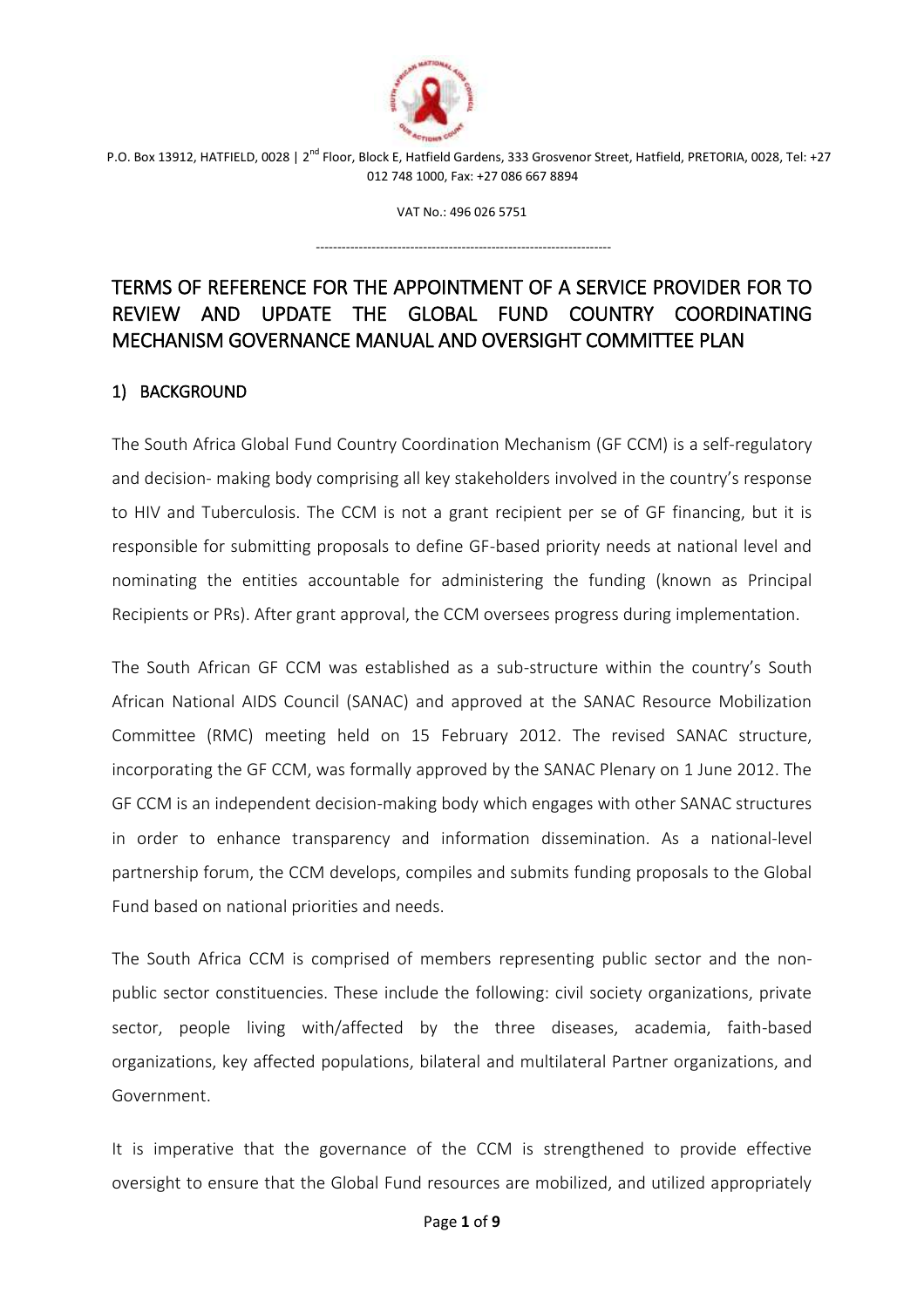

VAT No.: 496 026 5751

---------------------------------------------------------------------

# TERMS OF REFERENCE FOR THE APPOINTMENT OF A SERVICE PROVIDER FOR TO REVIEW AND UPDATE THE GLOBAL FUND COUNTRY COORDINATING MECHANISM GOVERNANCE MANUAL AND OVERSIGHT COMMITTEE PLAN

# 1) BACKGROUND

The South Africa Global Fund Country Coordination Mechanism (GF CCM) is a self-regulatory and decision- making body comprising all key stakeholders involved in the country's response to HIV and Tuberculosis. The CCM is not a grant recipient per se of GF financing, but it is responsible for submitting proposals to define GF-based priority needs at national level and nominating the entities accountable for administering the funding (known as Principal Recipients or PRs). After grant approval, the CCM oversees progress during implementation.

The South African GF CCM was established as a sub-structure within the country's South African National AIDS Council (SANAC) and approved at the SANAC Resource Mobilization Committee (RMC) meeting held on 15 February 2012. The revised SANAC structure, incorporating the GF CCM, was formally approved by the SANAC Plenary on 1 June 2012. The GF CCM is an independent decision-making body which engages with other SANAC structures in order to enhance transparency and information dissemination. As a national-level partnership forum, the CCM develops, compiles and submits funding proposals to the Global Fund based on national priorities and needs.

The South Africa CCM is comprised of members representing public sector and the nonpublic sector constituencies. These include the following: civil society organizations, private sector, people living with/affected by the three diseases, academia, faith-based organizations, key affected populations, bilateral and multilateral Partner organizations, and Government.

It is imperative that the governance of the CCM is strengthened to provide effective oversight to ensure that the Global Fund resources are mobilized, and utilized appropriately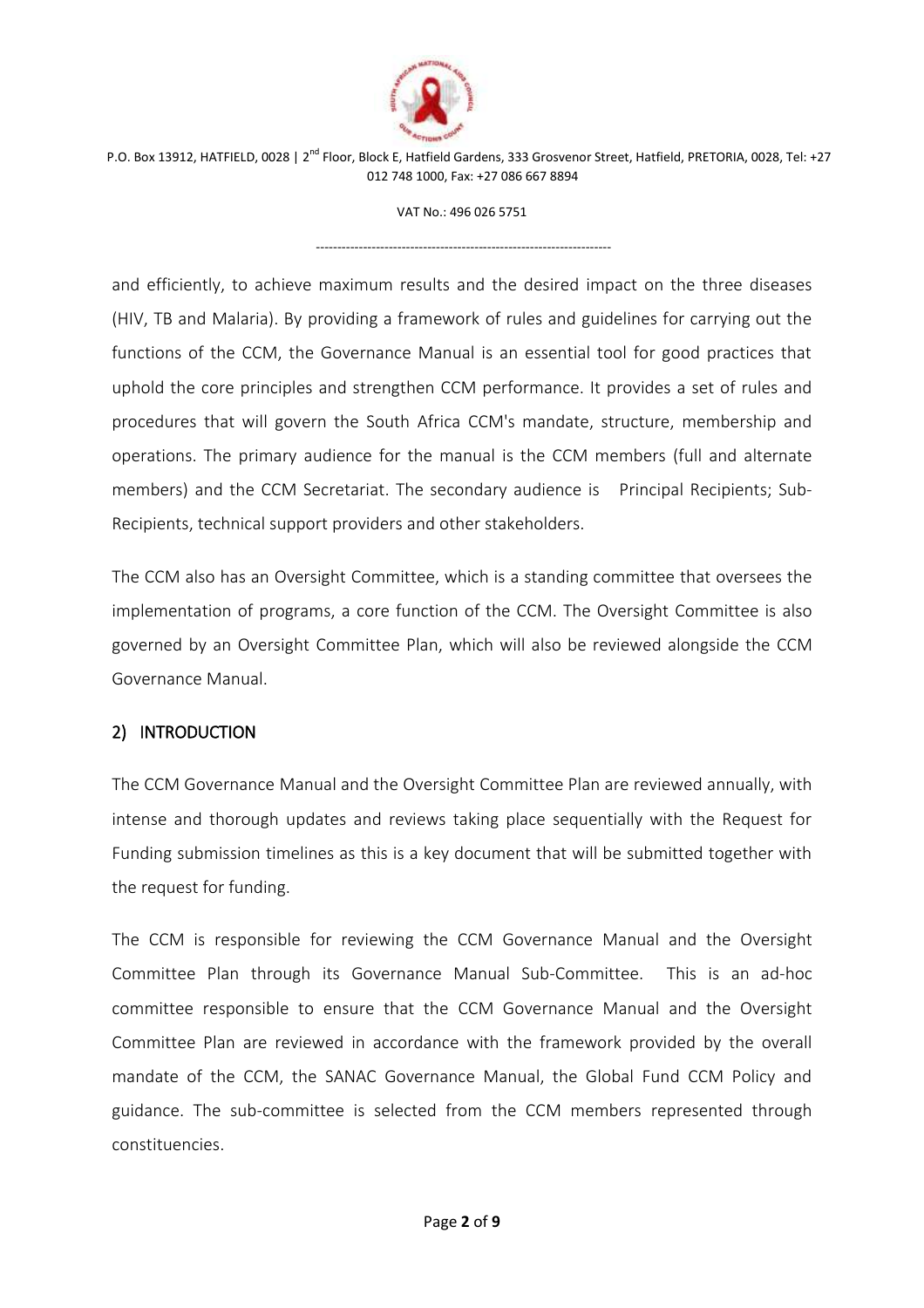

VAT No.: 496 026 5751

---------------------------------------------------------------------

and efficiently, to achieve maximum results and the desired impact on the three diseases (HIV, TB and Malaria). By providing a framework of rules and guidelines for carrying out the functions of the CCM, the Governance Manual is an essential tool for good practices that uphold the core principles and strengthen CCM performance. It provides a set of rules and procedures that will govern the South Africa CCM's mandate, structure, membership and operations. The primary audience for the manual is the CCM members (full and alternate members) and the CCM Secretariat. The secondary audience is Principal Recipients; Sub-Recipients, technical support providers and other stakeholders.

The CCM also has an Oversight Committee, which is a standing committee that oversees the implementation of programs, a core function of the CCM. The Oversight Committee is also governed by an Oversight Committee Plan, which will also be reviewed alongside the CCM Governance Manual.

# 2) INTRODUCTION

The CCM Governance Manual and the Oversight Committee Plan are reviewed annually, with intense and thorough updates and reviews taking place sequentially with the Request for Funding submission timelines as this is a key document that will be submitted together with the request for funding.

The CCM is responsible for reviewing the CCM Governance Manual and the Oversight Committee Plan through its Governance Manual Sub-Committee. This is an ad-hoc committee responsible to ensure that the CCM Governance Manual and the Oversight Committee Plan are reviewed in accordance with the framework provided by the overall mandate of the CCM, the SANAC Governance Manual, the Global Fund CCM Policy and guidance. The sub-committee is selected from the CCM members represented through constituencies.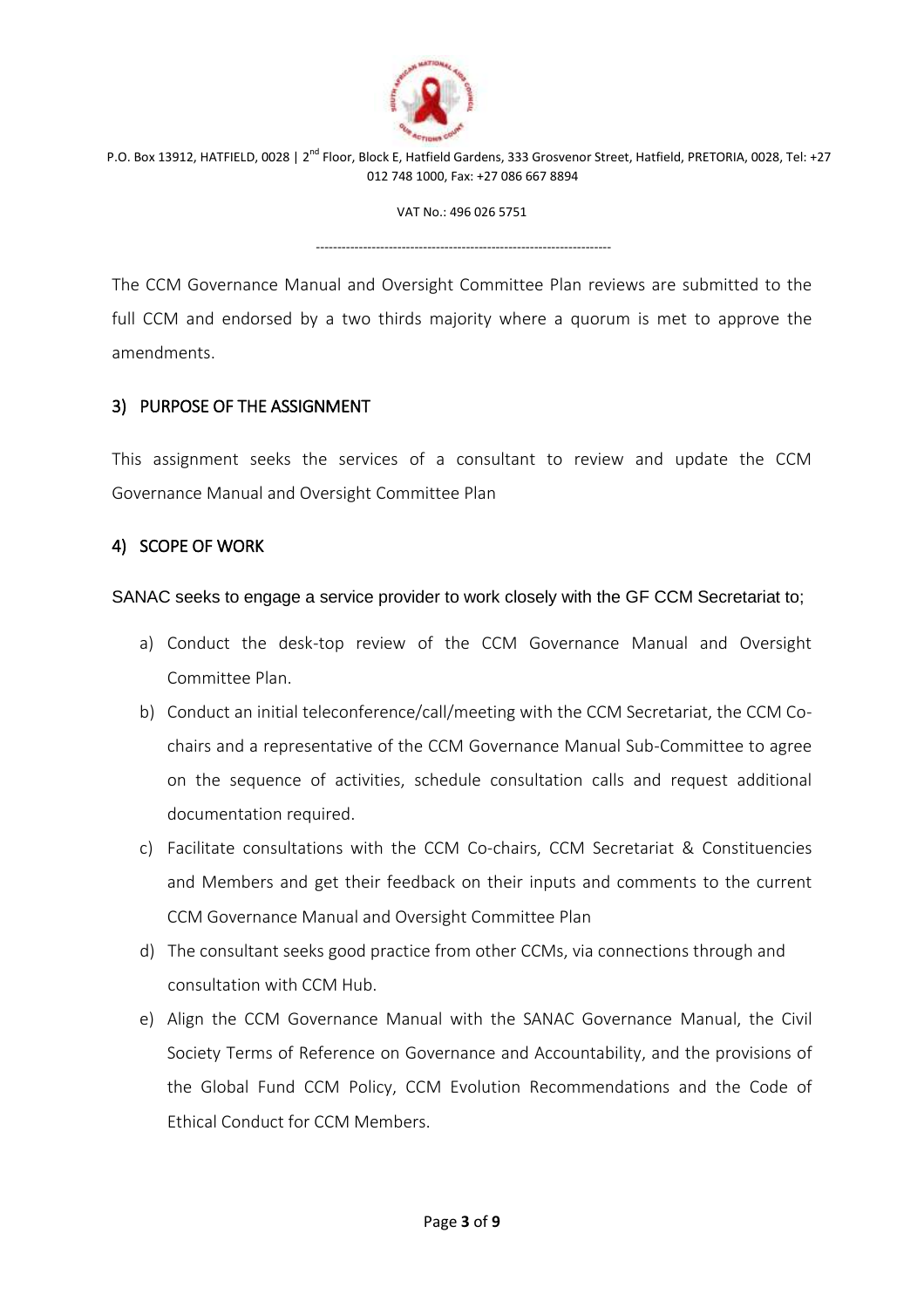

VAT No.: 496 026 5751

---------------------------------------------------------------------

The CCM Governance Manual and Oversight Committee Plan reviews are submitted to the full CCM and endorsed by a two thirds majority where a quorum is met to approve the amendments.

#### 3) PURPOSE OF THE ASSIGNMENT

This assignment seeks the services of a consultant to review and update the CCM Governance Manual and Oversight Committee Plan

#### 4) SCOPE OF WORK

SANAC seeks to engage a service provider to work closely with the GF CCM Secretariat to;

- a) Conduct the desk-top review of the CCM Governance Manual and Oversight Committee Plan.
- b) Conduct an initial teleconference/call/meeting with the CCM Secretariat, the CCM Cochairs and a representative of the CCM Governance Manual Sub-Committee to agree on the sequence of activities, schedule consultation calls and request additional documentation required.
- c) Facilitate consultations with the CCM Co-chairs, CCM Secretariat & Constituencies and Members and get their feedback on their inputs and comments to the current CCM Governance Manual and Oversight Committee Plan
- d) The consultant seeks good practice from other CCMs, via connections through and consultation with CCM Hub.
- e) Align the CCM Governance Manual with the SANAC Governance Manual, the Civil Society Terms of Reference on Governance and Accountability, and the provisions of the Global Fund CCM Policy, CCM Evolution Recommendations and the Code of Ethical Conduct for CCM Members.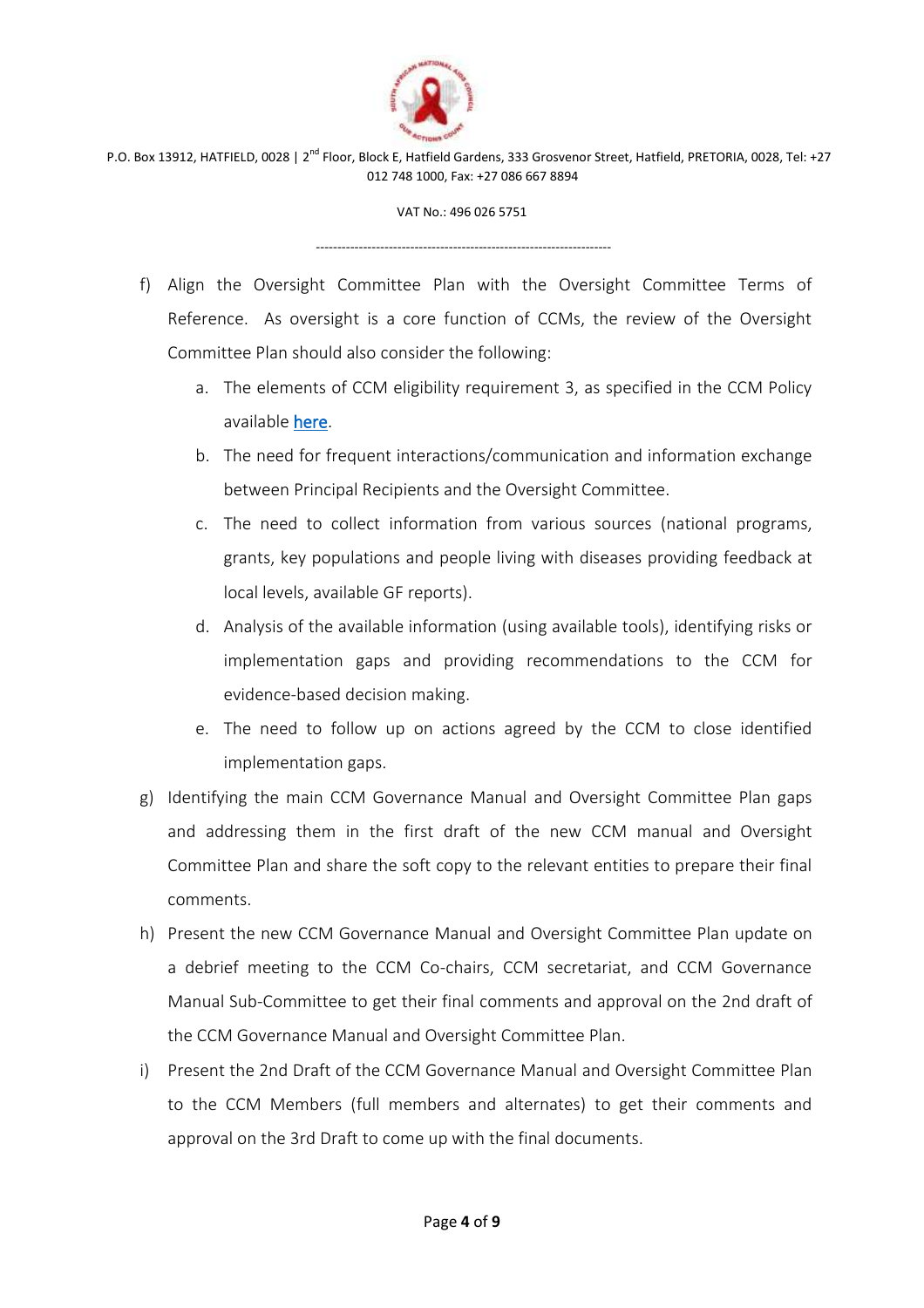

VAT No.: 496 026 5751

---------------------------------------------------------------------

- f) Align the Oversight Committee Plan with the Oversight Committee Terms of Reference. As oversight is a core function of CCMs, the review of the Oversight Committee Plan should also consider the following:
	- a. The elements of CCM eligibility requirement 3, as specified in the CCM Policy available [here.](https://www.theglobalfund.org/media/7421/ccm_countrycoordinatingmechanism_policy_en.pdf)
	- b. The need for frequent interactions/communication and information exchange between Principal Recipients and the Oversight Committee.
	- c. The need to collect information from various sources (national programs, grants, key populations and people living with diseases providing feedback at local levels, available GF reports).
	- d. Analysis of the available information (using available tools), identifying risks or implementation gaps and providing recommendations to the CCM for evidence-based decision making.
	- e. The need to follow up on actions agreed by the CCM to close identified implementation gaps.
- g) Identifying the main CCM Governance Manual and Oversight Committee Plan gaps and addressing them in the first draft of the new CCM manual and Oversight Committee Plan and share the soft copy to the relevant entities to prepare their final comments.
- h) Present the new CCM Governance Manual and Oversight Committee Plan update on a debrief meeting to the CCM Co-chairs, CCM secretariat, and CCM Governance Manual Sub-Committee to get their final comments and approval on the 2nd draft of the CCM Governance Manual and Oversight Committee Plan.
- i) Present the 2nd Draft of the CCM Governance Manual and Oversight Committee Plan to the CCM Members (full members and alternates) to get their comments and approval on the 3rd Draft to come up with the final documents.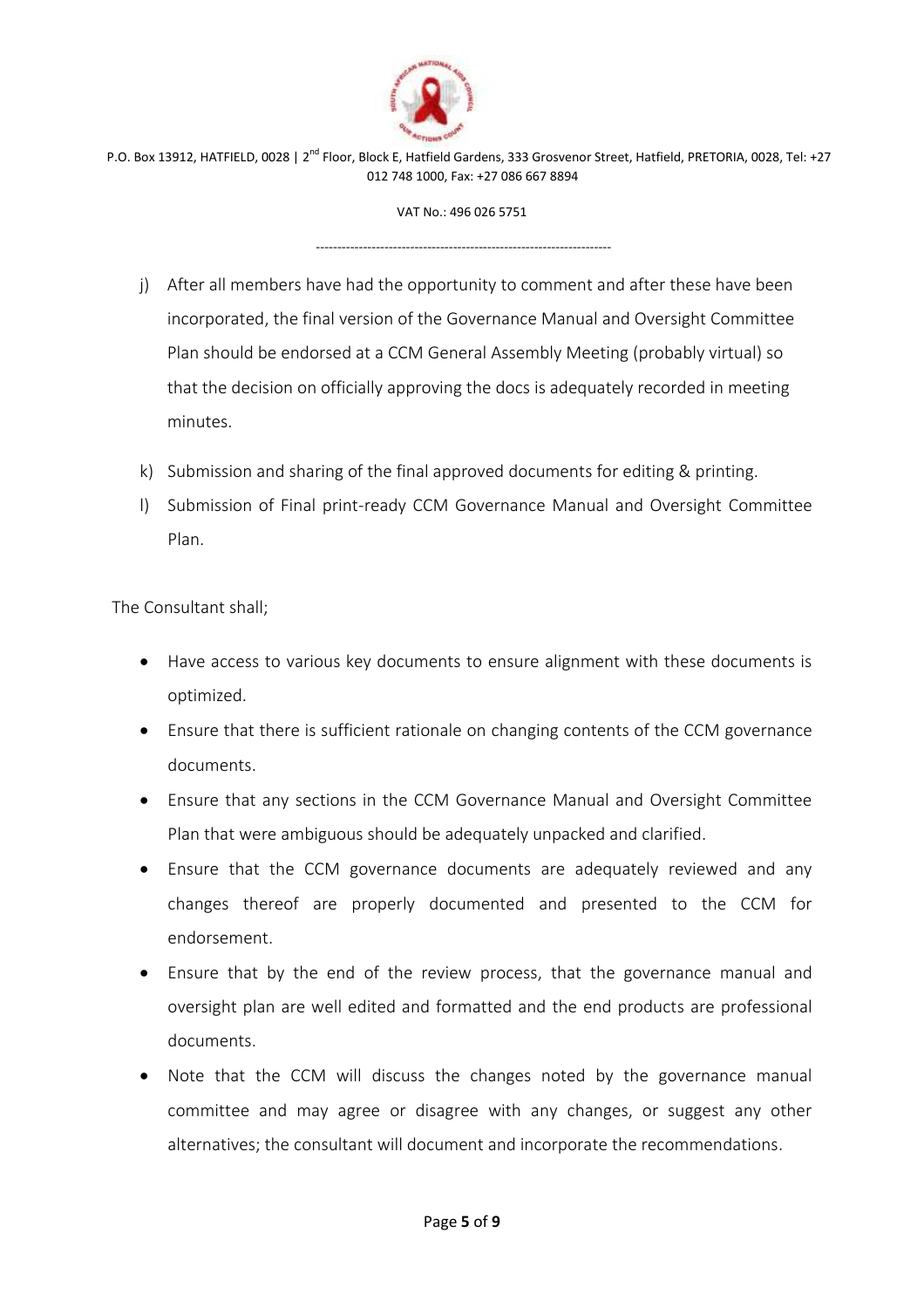

VAT No.: 496 026 5751

---------------------------------------------------------------------

- j) After all members have had the opportunity to comment and after these have been incorporated, the final version of the Governance Manual and Oversight Committee Plan should be endorsed at a CCM General Assembly Meeting (probably virtual) so that the decision on officially approving the docs is adequately recorded in meeting minutes.
- k) Submission and sharing of the final approved documents for editing & printing.
- l) Submission of Final print-ready CCM Governance Manual and Oversight Committee Plan.

The Consultant shall;

- Have access to various key documents to ensure alignment with these documents is optimized.
- Ensure that there is sufficient rationale on changing contents of the CCM governance documents.
- Ensure that any sections in the CCM Governance Manual and Oversight Committee Plan that were ambiguous should be adequately unpacked and clarified.
- Ensure that the CCM governance documents are adequately reviewed and any changes thereof are properly documented and presented to the CCM for endorsement.
- Ensure that by the end of the review process, that the governance manual and oversight plan are well edited and formatted and the end products are professional documents.
- Note that the CCM will discuss the changes noted by the governance manual committee and may agree or disagree with any changes, or suggest any other alternatives; the consultant will document and incorporate the recommendations.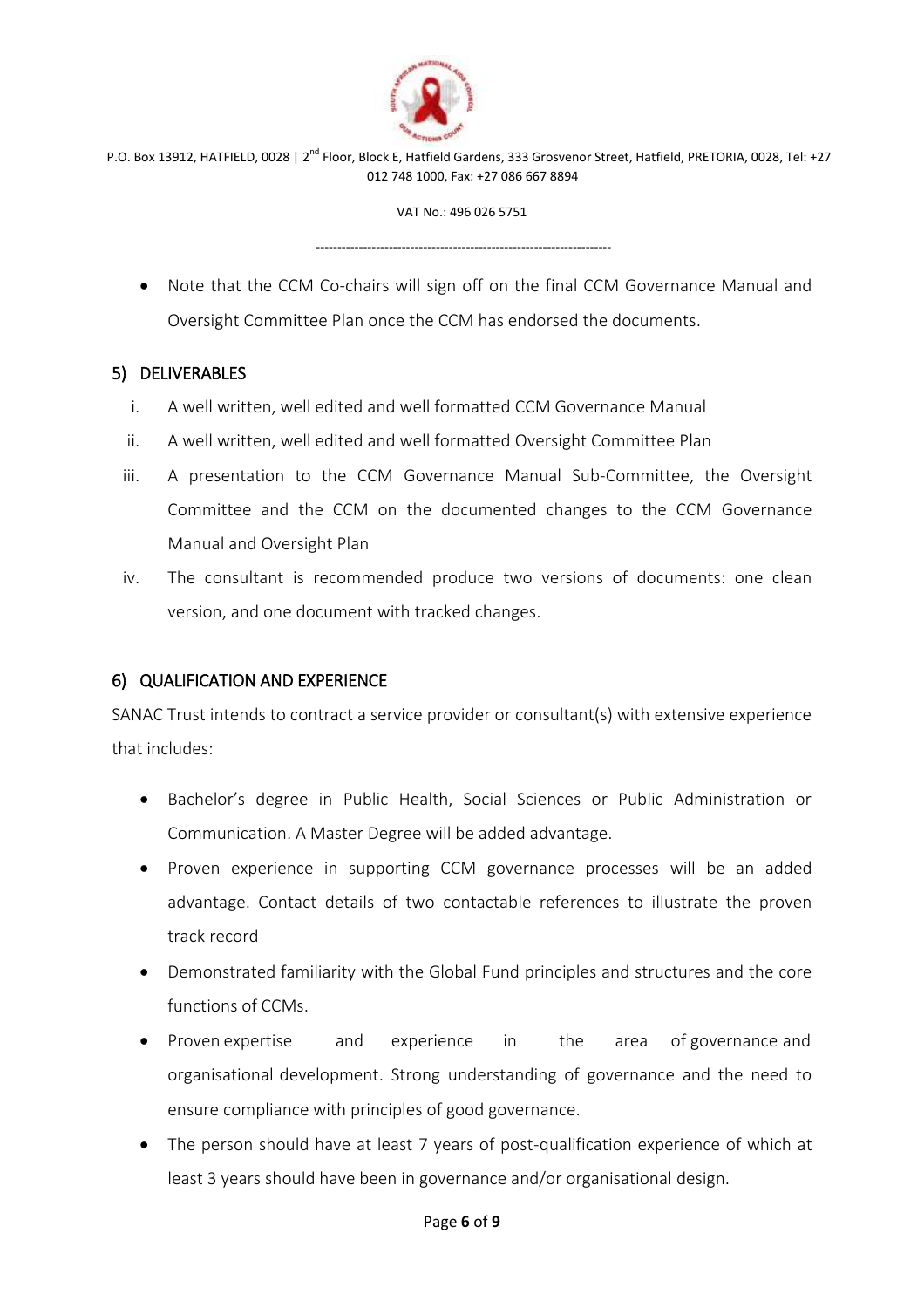

VAT No.: 496 026 5751

---------------------------------------------------------------------

 Note that the CCM Co-chairs will sign off on the final CCM Governance Manual and Oversight Committee Plan once the CCM has endorsed the documents.

### 5) DELIVERABLES

- i. A well written, well edited and well formatted CCM Governance Manual
- ii. A well written, well edited and well formatted Oversight Committee Plan
- iii. A presentation to the CCM Governance Manual Sub-Committee, the Oversight Committee and the CCM on the documented changes to the CCM Governance Manual and Oversight Plan
- iv. The consultant is recommended produce two versions of documents: one clean version, and one document with tracked changes.

# 6) QUALIFICATION AND EXPERIENCE

SANAC Trust intends to contract a service provider or consultant(s) with extensive experience that includes:

- Bachelor's degree in Public Health, Social Sciences or Public Administration or Communication. A Master Degree will be added advantage.
- Proven experience in supporting CCM governance processes will be an added advantage. Contact details of two contactable references to illustrate the proven track record
- Demonstrated familiarity with the Global Fund principles and structures and the core functions of CCMs.
- Proven expertise and experience in the area of governance and organisational development. Strong understanding of governance and the need to ensure compliance with principles of good governance.
- The person should have at least 7 years of post-qualification experience of which at least 3 years should have been in governance and/or organisational design.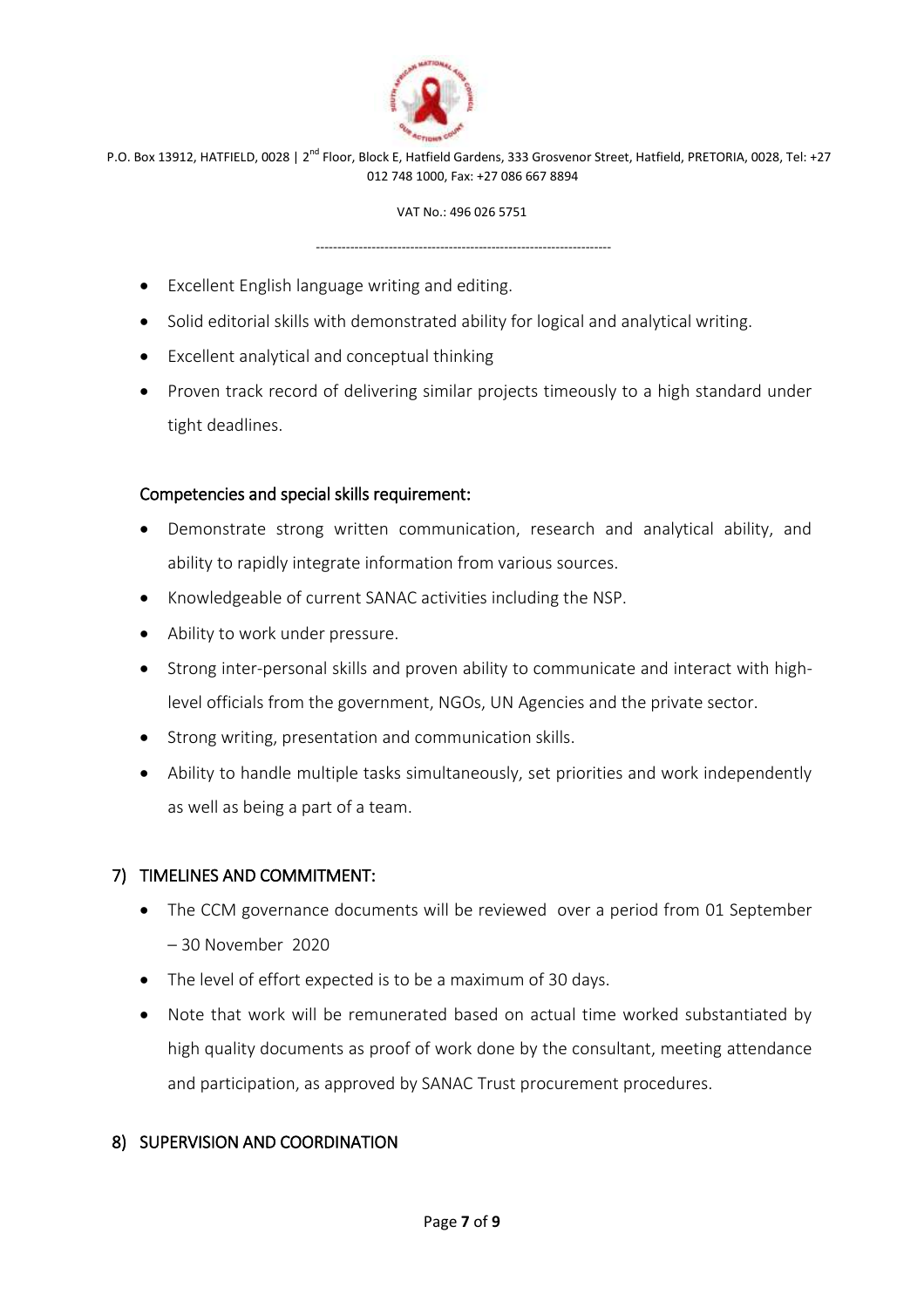

VAT No.: 496 026 5751

---------------------------------------------------------------------

- Excellent English language writing and editing.
- Solid editorial skills with demonstrated ability for logical and analytical writing.
- Excellent analytical and conceptual thinking
- Proven track record of delivering similar projects timeously to a high standard under tight deadlines.

### Competencies and special skills requirement:

- Demonstrate strong written communication, research and analytical ability, and ability to rapidly integrate information from various sources.
- Knowledgeable of current SANAC activities including the NSP.
- Ability to work under pressure.
- Strong inter-personal skills and proven ability to communicate and interact with highlevel officials from the government, NGOs, UN Agencies and the private sector.
- Strong writing, presentation and communication skills.
- Ability to handle multiple tasks simultaneously, set priorities and work independently as well as being a part of a team.

### 7) TIMELINES AND COMMITMENT:

- The CCM governance documents will be reviewed over a period from 01 September – 30 November 2020
- The level of effort expected is to be a maximum of 30 days.
- Note that work will be remunerated based on actual time worked substantiated by high quality documents as proof of work done by the consultant, meeting attendance and participation, as approved by SANAC Trust procurement procedures.

### 8) SUPERVISION AND COORDINATION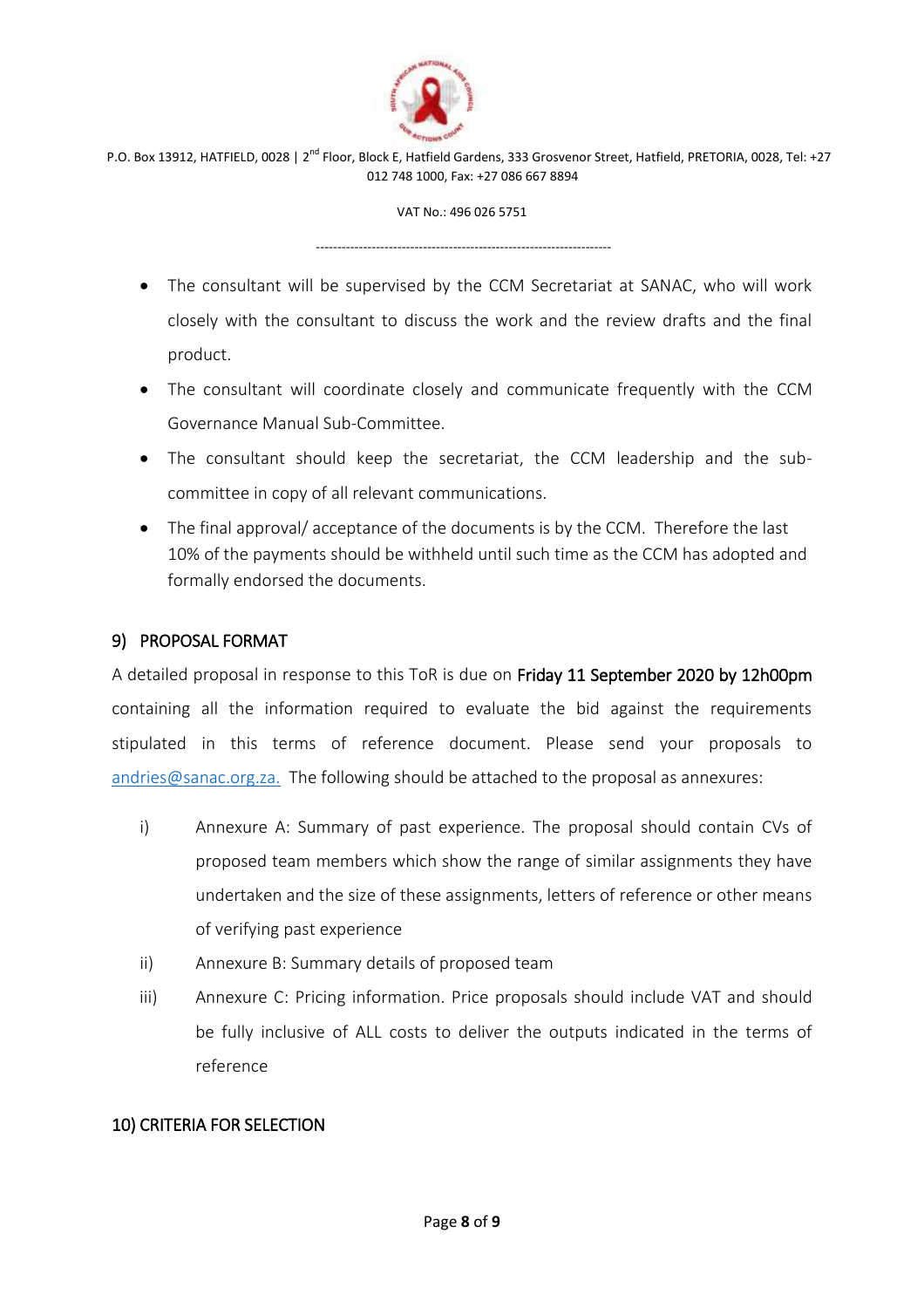

VAT No.: 496 026 5751

---------------------------------------------------------------------

- The consultant will be supervised by the CCM Secretariat at SANAC, who will work closely with the consultant to discuss the work and the review drafts and the final product.
- The consultant will coordinate closely and communicate frequently with the CCM Governance Manual Sub-Committee.
- The consultant should keep the secretariat, the CCM leadership and the subcommittee in copy of all relevant communications.
- The final approval/ acceptance of the documents is by the CCM. Therefore the last 10% of the payments should be withheld until such time as the CCM has adopted and formally endorsed the documents.

### 9) PROPOSAL FORMAT

A detailed proposal in response to this ToR is due on Friday 11 September 2020 by 12h00pm containing all the information required to evaluate the bid against the requirements stipulated in this terms of reference document. Please send your proposals to [andries@sanac.org.za.](mailto:andries@sanac.org.za.) The following should be attached to the proposal as annexures:

- i) Annexure A: Summary of past experience. The proposal should contain CVs of proposed team members which show the range of similar assignments they have undertaken and the size of these assignments, letters of reference or other means of verifying past experience
- ii) Annexure B: Summary details of proposed team
- iii) Annexure C: Pricing information. Price proposals should include VAT and should be fully inclusive of ALL costs to deliver the outputs indicated in the terms of reference

#### 10) CRITERIA FOR SELECTION